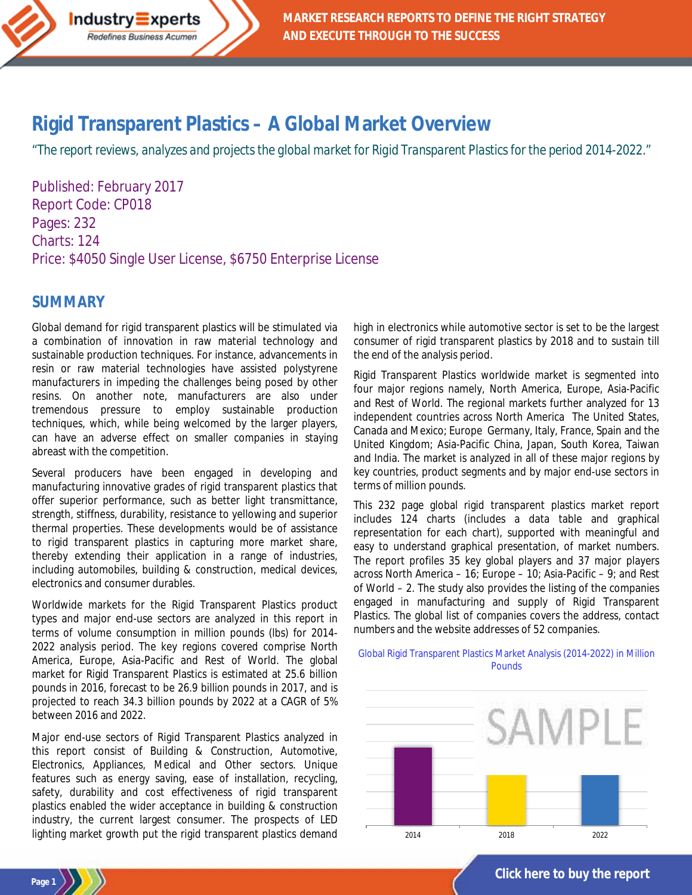

## **Rigid Transparent Plastics – [A Global Market Overview](http://industry-experts.com/verticals/chemicals-and-materials/rigid-transparent-plastics-a-global-market-overview)**

*"The report reviews, analyzes and projects the global market for Rigid Transparent Plasticsfor the period 2014-2022."*

Published: February 2017 Report Code: CP018 Pages: 232 Charts: 124 Price: \$4050 Single User License, \$6750 Enterprise License

## **SUMMARY**

**Page 1**

Global demand for rigid transparent plastics will be stimulated via a combination of innovation in raw material technology and sustainable production techniques. For instance, advancements in resin or raw material technologies have assisted polystyrene manufacturers in impeding the challenges being posed by other resins. On another note, manufacturers are also under tremendous pressure to employ sustainable production techniques, which, while being welcomed by the larger players, can have an adverse effect on smaller companies in staying abreast with the competition.

Several producers have been engaged in developing and manufacturing innovative grades of rigid transparent plastics that offer superior performance, such as better light transmittance, strength, stiffness, durability, resistance to yellowing and superior thermal properties. These developments would be of assistance to rigid transparent plastics in capturing more market share, thereby extending their application in a range of industries, including automobiles, building & construction, medical devices, electronics and consumer durables.

Worldwide markets for the Rigid Transparent Plastics product types and major end-use sectors are analyzed in this report in terms of volume consumption in million pounds (lbs) for 2014- 2022 analysis period. The key regions covered comprise North America, Europe, Asia-Pacific and Rest of World. The global market for Rigid Transparent Plastics is estimated at 25.6 billion pounds in 2016, forecast to be 26.9 billion pounds in 2017, and is projected to reach 34.3 billion pounds by 2022 at a CAGR of 5% between 2016 and 2022.

Major end-use sectors of Rigid Transparent Plastics analyzed in this report consist of Building & Construction, Automotive, Electronics, Appliances, Medical and Other sectors. Unique features such as energy saving, ease of installation, recycling, safety, durability and cost effectiveness of rigid transparent plastics enabled the wider acceptance in building & construction industry, the current largest consumer. The prospects of LED lighting market growth put the rigid transparent plastics demand

high in electronics while automotive sector is set to be the largest consumer of rigid transparent plastics by 2018 and to sustain till the end of the analysis period.

Rigid Transparent Plastics worldwide market is segmented into four major regions namely, North America, Europe, Asia-Pacific and Rest of World. The regional markets further analyzed for 13 independent countries across North America The United States, Canada and Mexico; Europe Germany, Italy, France, Spain and the United Kingdom; Asia-Pacific China, Japan, South Korea, Taiwan and India. The market is analyzed in all of these major regions by key countries, product segments and by major end-use sectors in terms of million pounds.

This 232 page global rigid transparent plastics market report includes 124 charts (includes a data table and graphical representation for each chart), supported with meaningful and easy to understand graphical presentation, of market numbers. The report profiles 35 key global players and 37 major players across North America – 16; Europe – 10; Asia-Pacific – 9; and Rest of World – 2. The study also provides the listing of the companies engaged in manufacturing and supply of Rigid Transparent Plastics. The global list of companies covers the address, contact numbers and the website addresses of 52 companies.

#### Global Rigid Transparent Plastics Market Analysis (2014-2022) in Million **Pounds**



**[Click here to buy the report](http://industry-experts.com/verticals/chemicals-and-materials/rigid-transparent-plastics-a-global-market-overview)**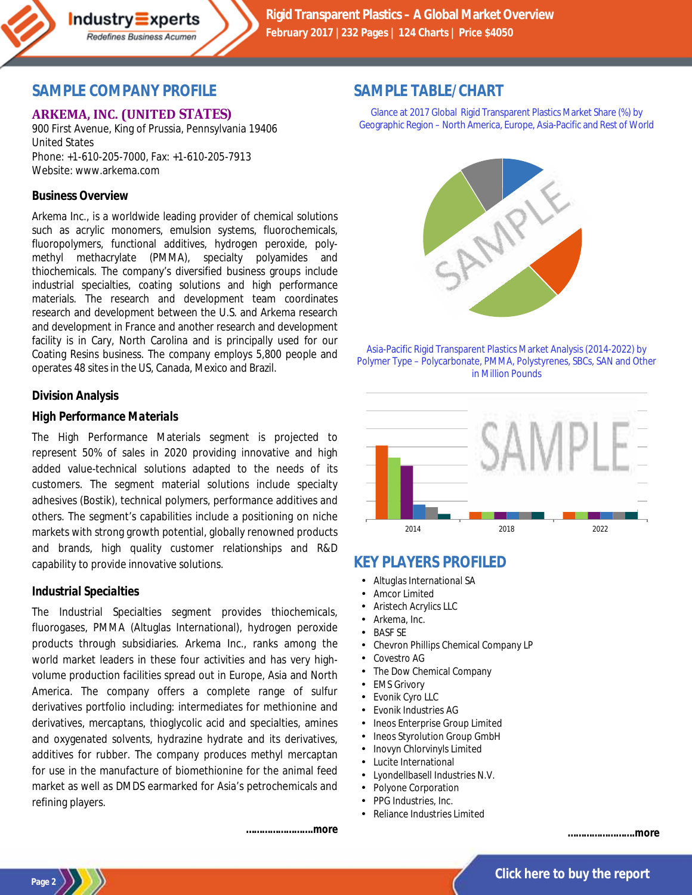

## **SAMPLE COMPANY PROFILE**

### **ARKEMA, INC. (UNITED STATES)**

900 First Avenue, King of Prussia, Pennsylvania 19406 United States Phone: +1-610-205-7000, Fax: +1-610-205-7913 Website: www.arkema.com

#### **Business Overview**

Arkema Inc., is a worldwide leading provider of chemical solutions such as acrylic monomers, emulsion systems, fluorochemicals, fluoropolymers, functional additives, hydrogen peroxide, polymethyl methacrylate (PMMA), specialty polyamides and thiochemicals. The company's diversified business groups include industrial specialties, coating solutions and high performance materials. The research and development team coordinates research and development between the U.S. and Arkema research and development in France and another research and development facility is in Cary, North Carolina and is principally used for our Coating Resins business. The company employs 5,800 people and operates 48 sites in the US, Canada, Mexico and Brazil.

#### **Division Analysis**

#### *High Performance Materials*

The High Performance Materials segment is projected to represent 50% of sales in 2020 providing innovative and high added value-technical solutions adapted to the needs of its customers. The segment material solutions include specialty adhesives (Bostik), technical polymers, performance additives and others. The segment's capabilities include a positioning on niche markets with strong growth potential, globally renowned products and brands, high quality customer relationships and R&D capability to provide innovative solutions.

#### *Industrial Specialties*

The Industrial Specialties segment provides thiochemicals, fluorogases, PMMA (Altuglas International), hydrogen peroxide products through subsidiaries. Arkema Inc., ranks among the world market leaders in these four activities and has very highvolume production facilities spread out in Europe, Asia and North America. The company offers a complete range of sulfur derivatives portfolio including: intermediates for methionine and derivatives, mercaptans, thioglycolic acid and specialties, amines and oxygenated solvents, hydrazine hydrate and its derivatives, additives for rubber. The company produces methyl mercaptan for use in the manufacture of biomethionine for the animal feed market as well as DMDS earmarked for Asia's petrochemicals and refining players.

## **SAMPLE TABLE/CHART**

Glance at 2017 Global Rigid Transparent Plastics Market Share (%) by Geographic Region – North America, Europe, Asia-Pacific and Rest of World



Asia-Pacific Rigid Transparent Plastics Market Analysis (2014-2022) by Polymer Type – Polycarbonate, PMMA, Polystyrenes, SBCs, SAN and Other in Million Pounds



## **KEY PLAYERS PROFILED**

- Altuglas International SA
- Amcor Limited
- Aristech Acrylics LLC
- Arkema, Inc.
- BASF SE
- Chevron Phillips Chemical Company LP
- Covestro AG
- The Dow Chemical Company
- EMS Grivory  $\mathbf{r}$
- Evonik Cyro LLC
- Evonik Industries AG
- Ineos Enterprise Group Limited
- Ineos Styrolution Group GmbH
- Inovyn Chlorvinyls Limited
- Lucite International
- Lyondellbasell Industries N.V.
- Polyone Corporation
- PPG Industries, Inc.
- Reliance Industries Limited

*…………………….more*





**Page 2**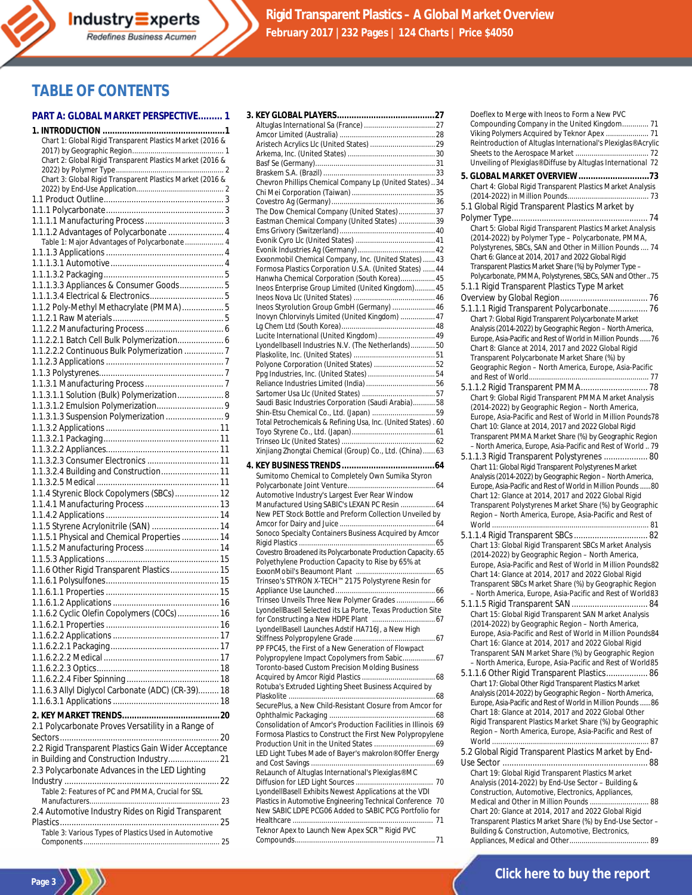

## **TABLE OF CONTENTS**

#### **PART A: GLOBAL MARKET PERSPECTIVE......... 1 3. KEY GLOBAL PLAYERS........................................27**

| Chart 1: Global Rigid Transparent Plastics Market (2016 & |
|-----------------------------------------------------------|
| Chart 2: Global Rigid Transparent Plastics Market (2016 & |
|                                                           |
| Chart 3: Global Rigid Transparent Plastics Market (2016 & |
|                                                           |
|                                                           |
|                                                           |
| 1.1.1.2 Advantages of Polycarbonate  4                    |
| Table 1: Major Advantages of Polycarbonate  4             |
|                                                           |
|                                                           |
| 1.1.1.3.3 Appliances & Consumer Goods 5                   |
|                                                           |
| 1.1.2 Poly-Methyl Methacrylate (PMMA) 5                   |
|                                                           |
| 1.1.2.2.1 Batch Cell Bulk Polymerization 6                |
| 1.1.2.2.2 Continuous Bulk Polymerization  7               |
|                                                           |
|                                                           |
|                                                           |
| 1.1.3.1.1 Solution (Bulk) Polymerization 8                |
|                                                           |
|                                                           |
|                                                           |
|                                                           |
| 1.1.3.2.3 Consumer Electronics  11                        |
| 1.1.3.2.4 Building and Construction 11                    |
|                                                           |
| 1.1.4 Styrenic Block Copolymers (SBCs)  12                |
|                                                           |
| 1.1.5 Styrene Acrylonitrile (SAN)  14                     |
| 1.1.5.1 Physical and Chemical Properties  14              |
| 1.1.5.2 Manufacturing Process  14                         |
|                                                           |
| 1.1.6 Other Rigid Transparent Plastics 15                 |
|                                                           |
|                                                           |
| 1.1.6.2 Cyclic Olefin Copolymers (COCs)  16               |
|                                                           |
|                                                           |
|                                                           |
|                                                           |
|                                                           |
|                                                           |
| 1.1.6.3 Allyl Diglycol Carbonate (ADC) (CR-39) 18         |
|                                                           |
| 2.1 Polycarbonate Proves Versatility in a Range of        |
|                                                           |
| 2.2 Rigid Transparent Plastics Gain Wider Acceptance      |
| in Building and Construction Industry 21                  |
| 2.3 Polycarbonate Advances in the LED Lighting            |
|                                                           |
| Table 2: Features of PC and PMMA, Crucial for SSL         |
| 2.4 Automotive Industry Rides on Rigid Transparent        |
|                                                           |
| Table 3: Various Types of Plastics Used in Automotive     |
|                                                           |

Page  $3$   $\left\langle \frac{1}{2} \right\rangle$ 

| Chevron Phillips Chemical Company Lp (United States)  34       |  |
|----------------------------------------------------------------|--|
|                                                                |  |
|                                                                |  |
|                                                                |  |
| The Dow Chemical Company (United States)37                     |  |
| Eastman Chemical Company (United States) 39                    |  |
|                                                                |  |
|                                                                |  |
|                                                                |  |
| Exxonmobil Chemical Company, Inc. (United States)  43          |  |
| Formosa Plastics Corporation U.S.A. (United States)  44        |  |
| Hanwha Chemical Corporation (South Korea) 45                   |  |
| Ineos Enterprise Group Limited (United Kingdom) 45             |  |
|                                                                |  |
|                                                                |  |
| Ineos Styrolution Group GmbH (Germany)  46                     |  |
| Inovyn Chlorvinyls Limited (United Kingdom)  47                |  |
|                                                                |  |
| Lucite International (United Kingdom)  49                      |  |
| Lyondellbasell Industries N.V. (The Netherlands)50             |  |
|                                                                |  |
| Polyone Corporation (United States) 52                         |  |
|                                                                |  |
|                                                                |  |
|                                                                |  |
| Saudi Basic Industries Corporation (Saudi Arabia)58            |  |
|                                                                |  |
|                                                                |  |
| Total Petrochemicals & Refining Usa, Inc. (United States) . 60 |  |
|                                                                |  |
|                                                                |  |
| Xinjiang Zhongtai Chemical (Group) Co., Ltd. (China)  63       |  |
|                                                                |  |
|                                                                |  |
|                                                                |  |
| Sumitomo Chemical to Completely Own Sumika Styron              |  |
|                                                                |  |
| Automotive Industry's Largest Ever Rear Window                 |  |
| Manufactured Using SABIC's LEXAN PC Resin  64                  |  |
|                                                                |  |
| New PET Stock Bottle and Preform Collection Unveiled by        |  |
|                                                                |  |
| Sonoco Specialty Containers Business Acquired by Amcor         |  |
|                                                                |  |
| Covestro Broadened its Polycarbonate Production Capacity. 65   |  |
| Polyethylene Production Capacity to Rise by 65% at             |  |
|                                                                |  |
| Trinseo's STYRON X-TECH™ 2175 Polystyrene Resin for            |  |
|                                                                |  |
| Trinseo Unveils Three New Polymer Grades  66                   |  |
| LyondellBasell Selected its La Porte, Texas Production Site    |  |
|                                                                |  |
|                                                                |  |
| LyondellBasell Launches Adstif HA716J, a New High              |  |
|                                                                |  |
| PP FPC45, the First of a New Generation of Flowpact            |  |
| Polypropylene Impact Copolymers from Sabic 67                  |  |
| Toronto-based Custom Precision Molding Business                |  |
|                                                                |  |
| Rotuba's Extruded Lighting Sheet Business Acquired by          |  |
|                                                                |  |
| SecurePlus, a New Child-Resistant Closure from Amcor for       |  |
|                                                                |  |
| Consolidation of Amcor's Production Facilities in Illinois 69  |  |
| Formosa Plastics to Construct the First New Polypropylene      |  |
|                                                                |  |
| LED Light Tubes Made of Bayer's makrolon® Offer Energy         |  |
|                                                                |  |
|                                                                |  |
| ReLaunch of Altuglas International's Plexiglas® MC             |  |
|                                                                |  |
| LyondellBasell Exhibits Newest Applications at the VDI         |  |
| Plastics in Automotive Engineering Technical Conference 70     |  |
| New SABIC LDPE PCG06 Added to SABIC PCG Portfolio for          |  |
|                                                                |  |
| Teknor Apex to Launch New Apex SCR™ Rigid PVC                  |  |

| Doeflex to Merge with Ineos to Form a New PVC<br>Compounding Company in the United Kingdom 71 |
|-----------------------------------------------------------------------------------------------|
|                                                                                               |
|                                                                                               |
| Viking Polymers Acquired by Teknor Apex  71                                                   |
| Reintroduction of Altuglas International's Plexiglas® Acrylic                                 |
|                                                                                               |
| Unveiling of Plexiglas® Diffuse by Altuglas International 72                                  |
|                                                                                               |
| 5. GLOBAL MARKET OVERVIEW73                                                                   |
| Chart 4: Global Rigid Transparent Plastics Market Analysis                                    |
|                                                                                               |
| 5.1 Global Rigid Transparent Plastics Market by                                               |
|                                                                                               |
| Chart 5: Global Rigid Transparent Plastics Market Analysis                                    |
| (2014-2022) by Polymer Type - Polycarbonate, PMMA,                                            |
|                                                                                               |
| Polystyrenes, SBCs, SAN and Other in Million Pounds  74                                       |
| Chart 6: Glance at 2014, 2017 and 2022 Global Rigid                                           |
| Transparent Plastics Market Share (%) by Polymer Type -                                       |
| Polycarbonate, PMMA, Polystyrenes, SBCs, SAN and Other75                                      |
| 5.1.1 Rigid Transparent Plastics Type Market                                                  |
|                                                                                               |
| 5.1.1.1 Rigid Transparent Polycarbonate 76                                                    |
|                                                                                               |
| Chart 7: Global Rigid Transparent Polycarbonate Market                                        |
| Analysis (2014-2022) by Geographic Region - North America,                                    |
| Europe, Asia-Pacific and Rest of World in Million Pounds  76                                  |
| Chart 8: Glance at 2014, 2017 and 2022 Global Rigid                                           |
| Transparent Polycarbonate Market Share (%) by                                                 |
| Geographic Region - North America, Europe, Asia-Pacific                                       |
|                                                                                               |
|                                                                                               |
| Chart 9: Global Rigid Transparent PMMA Market Analysis                                        |
| (2014-2022) by Geographic Region - North America,                                             |
|                                                                                               |
| Europe, Asia-Pacific and Rest of World in Million Pounds78                                    |
| Chart 10: Glance at 2014, 2017 and 2022 Global Rigid                                          |
| Transparent PMMA Market Share (%) by Geographic Region                                        |
| - North America, Europe, Asia-Pacific and Rest of World 79                                    |
| 5.1.1.3 Rigid Transparent Polystyrenes  80                                                    |
| Chart 11: Global Rigid Transparent Polystyrenes Market                                        |
| Analysis (2014-2022) by Geographic Region - North America,                                    |
| Europe, Asia-Pacific and Rest of World in Million Pounds  80                                  |
| Chart 12: Glance at 2014, 2017 and 2022 Global Rigid                                          |
| Transparent Polystyrenes Market Share (%) by Geographic                                       |
| Region - North America, Europe, Asia-Pacific and Rest of                                      |
|                                                                                               |
|                                                                                               |
|                                                                                               |
| 5.1.1.4 Rigid Transparent SBCs  82                                                            |
| Chart 13: Global Rigid Transparent SBCs Market Analysis                                       |
| (2014-2022) by Geographic Region - North America,                                             |
| Europe, Asia-Pacific and Rest of World in Million Pounds82                                    |
| Chart 14: Glance at 2014, 2017 and 2022 Global Rigid                                          |
| Transparent SBCs Market Share (%) by Geographic Region                                        |
|                                                                                               |
| - North America, Europe, Asia-Pacific and Rest of World83                                     |
|                                                                                               |
| Chart 15: Global Rigid Transparent SAN Market Analysis                                        |
| (2014-2022) by Geographic Region - North America,                                             |
| Europe, Asia-Pacific and Rest of World in Million Pounds84                                    |
| Chart 16: Glance at 2014, 2017 and 2022 Global Rigid                                          |
| Transparent SAN Market Share (%) by Geographic Region                                         |
| - North America, Europe, Asia-Pacific and Rest of World85                                     |
| 5.1.1.6 Other Rigid Transparent Plastics 86                                                   |
| Chart 17: Global Other Rigid Transparent Plastics Market                                      |
| Analysis (2014-2022) by Geographic Region - North America,                                    |
| Europe, Asia-Pacific and Rest of World in Million Pounds 86                                   |
| Chart 18: Glance at 2014, 2017 and 2022 Global Other                                          |
| Rigid Transparent Plastics Market Share (%) by Geographic                                     |
| Region - North America, Europe, Asia-Pacific and Rest of                                      |
|                                                                                               |
|                                                                                               |
| 5.2 Global Rigid Transparent Plastics Market by End-                                          |
|                                                                                               |
| Chart 19: Global Rigid Transparent Plastics Market                                            |
| Analysis (2014-2022) by End-Use Sector - Building &                                           |
| Construction, Automotive, Electronics, Appliances,                                            |
| Medical and Other in Million Pounds  88                                                       |
| Chart 20: Glance at 2014, 2017 and 2022 Global Rigid                                          |
| Transparent Plastics Market Share (%) by End-Use Sector -                                     |
| Building & Construction, Automotive, Electronics,                                             |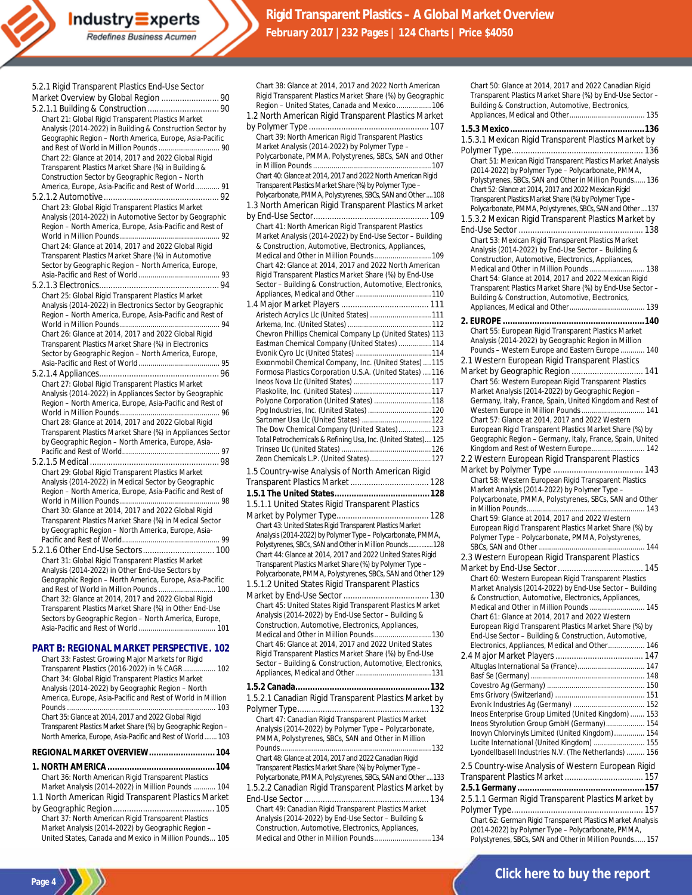| Chart 36: North American Rigid Transparent Plastics |  |
|-----------------------------------------------------|--|
| Market Analysis (2014-2022) in Million Pounds  104  |  |

- 1.1 North American Rigid Transparent Plastics Market by Geographic Region............................................ 105
- Chart 37: North American Rigid Transparent Plastics Market Analysis (2014-2022) by Geographic Region – United States, Canada and Mexico in Million Pounds... 105

**Page 4**

| Chart 38: Glance at 2014, 2017 and 2022 North American<br>Rigid Transparent Plastics Market Share (%) by Geographic<br>Region - United States, Canada and Mexico 106<br>1.2 North American Rigid Transparent Plastics Market |
|------------------------------------------------------------------------------------------------------------------------------------------------------------------------------------------------------------------------------|
| Chart 39: North American Rigid Transparent Plastics                                                                                                                                                                          |
| Market Analysis (2014-2022) by Polymer Type -<br>Polycarbonate, PMMA, Polystyrenes, SBCs, SAN and Other                                                                                                                      |
| Chart 40: Glance at 2014, 2017 and 2022 North American Rigid                                                                                                                                                                 |
| Transparent Plastics Market Share (%) by Polymer Type -<br>Polycarbonate, PMMA, Polystyrenes, SBCs, SAN and Other  108                                                                                                       |
| 1.3 North American Rigid Transparent Plastics Market                                                                                                                                                                         |
| Chart 41: North American Rigid Transparent Plastics                                                                                                                                                                          |
| Market Analysis (2014-2022) by End-Use Sector - Building                                                                                                                                                                     |
| & Construction, Automotive, Electronics, Appliances,<br>Medical and Other in Million Pounds 109                                                                                                                              |
| Chart 42: Glance at 2014, 2017 and 2022 North American<br>Rigid Transparent Plastics Market Share (%) by End-Use                                                                                                             |
| Sector - Building & Construction, Automotive, Electronics,                                                                                                                                                                   |
|                                                                                                                                                                                                                              |
| Aristech Acrylics Llc (United States)  111                                                                                                                                                                                   |
| Chevron Phillips Chemical Company Lp (United States) 113                                                                                                                                                                     |
| Eastman Chemical Company (United States)  114                                                                                                                                                                                |
| Exxonmobil Chemical Company, Inc. (United States)  115                                                                                                                                                                       |
| Formosa Plastics Corporation U.S.A. (United States)  116                                                                                                                                                                     |
|                                                                                                                                                                                                                              |
| Polyone Corporation (United States)  118                                                                                                                                                                                     |
| Ppg Industries, Inc. (United States)  120                                                                                                                                                                                    |
| The Dow Chemical Company (United States) 123<br>Total Petrochemicals & Refining Usa, Inc. (United States) 125                                                                                                                |
|                                                                                                                                                                                                                              |
| Zeon Chemicals L.P. (United States) 127                                                                                                                                                                                      |
| 1.5 Country-wise Analysis of North American Rigid<br>Transparent Plastics Market  128                                                                                                                                        |
|                                                                                                                                                                                                                              |
| 1.5.1.1 United States Rigid Transparent Plastics                                                                                                                                                                             |
| Chart 43: United States Rigid Transparent Plastics Market                                                                                                                                                                    |
| Analysis (2014-2022) by Polymer Type - Polycarbonate, PMMA,<br>Polystyrenes, SBCs, SAN and Other in Million Pounds 128                                                                                                       |
| Chart 44: Glance at 2014, 2017 and 2022 United States Rigid<br>Transparent Plastics Market Share (%) by Polymer Type -                                                                                                       |
| Polycarbonate, PMMA, Polystyrenes, SBCs, SAN and Other 129                                                                                                                                                                   |
| 1.5.1.2 United States Rigid Transparent Plastics                                                                                                                                                                             |
| Chart 45: United States Rigid Transparent Plastics Market                                                                                                                                                                    |
| Analysis (2014-2022) by End-Use Sector - Building &<br>Construction, Automotive, Electronics, Appliances,                                                                                                                    |
| Medical and Other in Million Pounds 130                                                                                                                                                                                      |
| Chart 46: Glance at 2014, 2017 and 2022 United States<br>Rigid Transparent Plastics Market Share (%) by End-Use                                                                                                              |
| Sector - Building & Construction, Automotive, Electronics,                                                                                                                                                                   |
|                                                                                                                                                                                                                              |
| 1.5.2.1 Canadian Rigid Transparent Plastics Market by                                                                                                                                                                        |
| Chart 47: Canadian Rigid Transparent Plastics Market                                                                                                                                                                         |
| Analysis (2014-2022) by Polymer Type - Polycarbonate,                                                                                                                                                                        |
| PMMA, Polystyrenes, SBCs, SAN and Other in Million                                                                                                                                                                           |
| Chart 48: Glance at 2014, 2017 and 2022 Canadian Rigid                                                                                                                                                                       |
|                                                                                                                                                                                                                              |
| Transparent Plastics Market Share (%) by Polymer Type -<br>Polycarbonate, PMMA, Polystyrenes, SBCs, SAN and Other133                                                                                                         |

End-Use Sector ...................................................... 134 Chart 49: Canadian Rigid Transparent Plastics Market Analysis (2014-2022) by End-Use Sector – Building & Construction, Automotive, Electronics, Appliances, Medical and Other in Million Pounds.................................134

| Chart 50: Glance at 2014, 2017 and 2022 Canadian Rigid                                                                 |
|------------------------------------------------------------------------------------------------------------------------|
| Transparent Plastics Market Share (%) by End-Use Sector -<br>Building & Construction, Automotive, Electronics,         |
|                                                                                                                        |
|                                                                                                                        |
| 1.5.3.1 Mexican Rigid Transparent Plastics Market by                                                                   |
|                                                                                                                        |
| Chart 51: Mexican Rigid Transparent Plastics Market Analysis                                                           |
| (2014-2022) by Polymer Type - Polycarbonate, PMMA,                                                                     |
| Polystyrenes, SBCs, SAN and Other in Million Pounds 136                                                                |
| Chart 52: Glance at 2014, 2017 and 2022 Mexican Rigid                                                                  |
| Transparent Plastics Market Share (%) by Polymer Type -<br>Polycarbonate, PMMA, Polystyrenes, SBCs, SAN and Other  137 |
| 1.5.3.2 Mexican Rigid Transparent Plastics Market by                                                                   |
|                                                                                                                        |
| Chart 53: Mexican Rigid Transparent Plastics Market                                                                    |
| Analysis (2014-2022) by End-Use Sector - Building &                                                                    |
| Construction, Automotive, Electronics, Appliances,                                                                     |
| Medical and Other in Million Pounds  138                                                                               |
| Chart 54: Glance at 2014, 2017 and 2022 Mexican Rigid<br>Transparent Plastics Market Share (%) by End-Use Sector -     |
| Building & Construction, Automotive, Electronics,                                                                      |
|                                                                                                                        |
|                                                                                                                        |
| Chart 55: European Rigid Transparent Plastics Market                                                                   |
| Analysis (2014-2022) by Geographic Region in Million                                                                   |
| Pounds - Western Europe and Eastern Europe  140                                                                        |
| 2.1 Western European Rigid Transparent Plastics                                                                        |
| Market by Geographic Region  141                                                                                       |
| Chart 56: Western European Rigid Transparent Plastics                                                                  |
| Market Analysis (2014-2022) by Geographic Region -                                                                     |
| Germany, Italy, France, Spain, United Kingdom and Rest of<br>Western Europe in Million Pounds  141                     |
| Chart 57: Glance at 2014, 2017 and 2022 Western                                                                        |
| European Rigid Transparent Plastics Market Share (%) by                                                                |
| Geographic Region - Germany, Italy, France, Spain, United                                                              |
| Kingdom and Rest of Western Europe 142                                                                                 |
| 2.2 Western European Rigid Transparent Plastics                                                                        |
| Chart 58: Western European Rigid Transparent Plastics                                                                  |
| Market Analysis (2014-2022) by Polymer Type -                                                                          |
| Polycarbonate, PMMA, Polystyrenes, SBCs, SAN and Other                                                                 |
|                                                                                                                        |
| Chart 59: Glance at 2014, 2017 and 2022 Western                                                                        |
| European Rigid Transparent Plastics Market Share (%) by<br>Polymer Type - Polycarbonate, PMMA, Polystyrenes,           |
|                                                                                                                        |
| 2.3 Western European Rigid Transparent Plastics                                                                        |
|                                                                                                                        |
| Chart 60: Western European Rigid Transparent Plastics                                                                  |
| Market Analysis (2014-2022) by End-Use Sector - Building                                                               |
| & Construction, Automotive, Electronics, Appliances,                                                                   |
| Medical and Other in Million Pounds  145<br>Chart 61: Glance at 2014, 2017 and 2022 Western                            |
| European Rigid Transparent Plastics Market Share (%) by                                                                |
|                                                                                                                        |
| End-Use Sector - Building & Construction, Automotive,                                                                  |
| Electronics, Appliances, Medical and Other 146                                                                         |
|                                                                                                                        |
| Altuglas International Sa (France) 147                                                                                 |
|                                                                                                                        |
|                                                                                                                        |
|                                                                                                                        |
| Ineos Enterprise Group Limited (United Kingdom)  153                                                                   |
| Ineos Styrolution Group GmbH (Germany) 154                                                                             |
| Inovyn Chlorvinyls Limited (United Kingdom) 154                                                                        |
| Lucite International (United Kingdom)  155                                                                             |
| Lyondellbasell Industries N.V. (The Netherlands)  156                                                                  |
| 2.5 Country-wise Analysis of Western European Rigid                                                                    |
|                                                                                                                        |
|                                                                                                                        |
| 2.5.1.1 German Rigid Transparent Plastics Market by                                                                    |
| Chart 62: German Rigid Transparent Plastics Market Analysis                                                            |

Polystyrenes, SBCs, SAN and Other in Million Pounds...... 157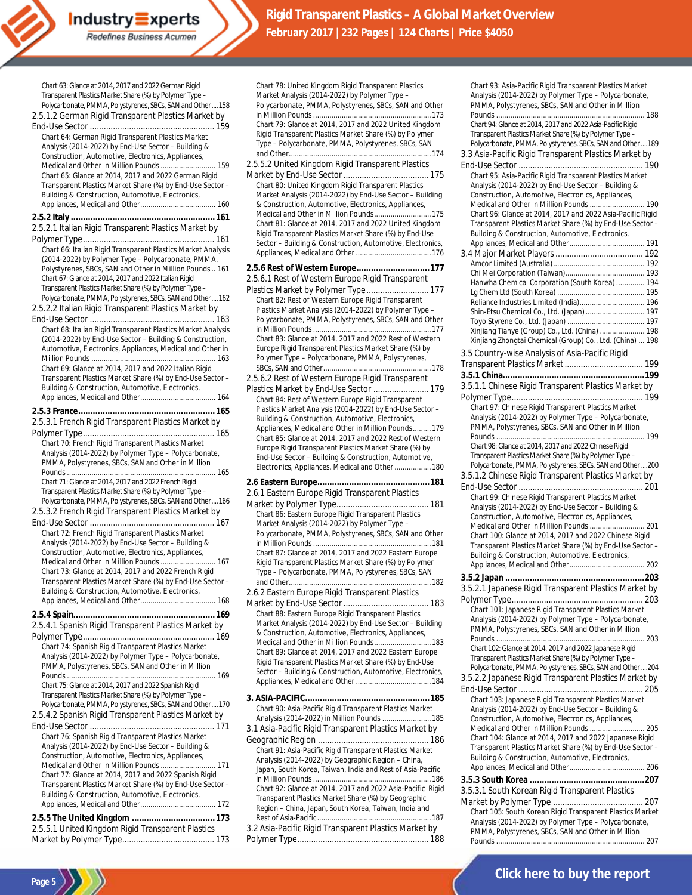Chart 63: Glance at 2014, 2017 and 2022 German Rigid Transparent Plastics Market Share (%) by Polymer Type – Polycarbonate, PMMA, Polystyrenes, SBCs, SAN and Other....158 2.5.1.2 German Rigid Transparent Plastics Market by End-Use Sector ...................................................... 159 Chart 64: German Rigid Transparent Plastics Market Analysis (2014-2022) by End-Use Sector – Building & Construction, Automotive, Electronics, Appliances, Medical and Other in Million Pounds ........................... 159 Chart 65: Glance at 2014, 2017 and 2022 German Rigid Transparent Plastics Market Share (%) by End-Use Sector – Building & Construction, Automotive, Electronics, Appliances, Medical and Other..................................... 160 **2.5.2 Italy ...........................................................161** 2.5.2.1 Italian Rigid Transparent Plastics Market by Polymer Type......................................................... 161 Chart 66: Italian Rigid Transparent Plastics Market Analysis (2014-2022) by Polymer Type – Polycarbonate, PMMA, Polystyrenes, SBCs, SAN and Other in Million Pounds.. 161 Chart 67: Glance at 2014, 2017 and 2022 Italian Rigid Transparent Plastics Market Share (%) by Polymer Type – Polycarbonate, PMMA, Polystyrenes, SBCs, SAN and Other....162 2.5.2.2 Italian Rigid Transparent Plastics Market by End-Use Sector ...................................................... 163 Chart 68: Italian Rigid Transparent Plastics Market Analysis (2014-2022) by End-Use Sector – Building & Construction, Automotive, Electronics, Appliances, Medical and Other in Million Pounds ...... Chart 69: Glance at 2014, 2017 and 2022 Italian Rigid Transparent Plastics Market Share (%) by End-Use Sector – Building & Construction, Automotive, Electronics, Appliances, Medical and Other..................................... 164 **2.5.3 France........................................................165** 2.5.3.1 French Rigid Transparent Plastics Market by Polymer Type......................................................... 165 Chart 70: French Rigid Transparent Plastics Market Analysis (2014-2022) by Polymer Type – Polycarbonate, PMMA, Polystyrenes, SBCs, SAN and Other in Million Pounds ......................................................................... 165 Chart 71: Glance at 2014, 2017 and 2022 French Rigid Transparent Plastics Market Share (%) by Polymer Type – Polycarbonate, PMMA, Polystyrenes, SBCs, SAN and Other....166 2.5.3.2 French Rigid Transparent Plastics Market by End-Use Sector ...................................................... 167 Chart 72: French Rigid Transparent Plastics Market Analysis (2014-2022) by End-Use Sector – Building & Construction, Automotive, Electronics, Appliances, Medical and Other in Million Pounds ........................... 167 Chart 73: Glance at 2014, 2017 and 2022 French Rigid Transparent Plastics Market Share (%) by End-Use Sector – Building & Construction, Automotive, Electronics, Appliances, Medical and Other..................................... 168 **2.5.4 Spain..........................................................169** 2.5.4.1 Spanish Rigid Transparent Plastics Market by Polymer Type......................................................... 169 Chart 74: Spanish Rigid Transparent Plastics Market Analysis (2014-2022) by Polymer Type – Polycarbonate, PMMA, Polystyrenes, SBCs, SAN and Other in Million Pounds ......................................................................... 169 Chart 75: Glance at 2014, 2017 and 2022 Spanish Rigid Transparent Plastics Market Share (%) by Polymer Type – Polycarbonate, PMMA, Polystyrenes, SBCs, SAN and Other....170 2.5.4.2 Spanish Rigid Transparent Plastics Market by End-Use Sector ...................................................... 171 Chart 76: Spanish Rigid Transparent Plastics Market Analysis (2014-2022) by End-Use Sector – Building & Construction, Automotive, Electronics, Appliances, Medical and Other in Million Pounds ..................... Chart 77: Glance at 2014, 2017 and 2022 Spanish Rigid Transparent Plastics Market Share (%) by End-Use Sector – Building & Construction, Automotive, Electronics, Appliances, Medical and Other........................... **2.5.5 The United Kingdom ..................................173** 2.5.5.1 United Kingdom Rigid Transparent Plastics

**Industry Experts** Redefines Business Acumen

Market by Polymer Type........................................ 173

**Page 5**

Chart 78: United Kingdom Rigid Transparent Plastics Market Analysis (2014-2022) by Polymer Type – Polycarbonate, PMMA, Polystyrenes, SBCs, SAN and Other in Million Pounds ..........................................................173 Chart 79: Glance at 2014, 2017 and 2022 United Kingdom Rigid Transparent Plastics Market Share (%) by Polymer Type – Polycarbonate, PMMA, Polystyrenes, SBCs, SAN and Other......................................................................174 2.5.5.2 United Kingdom Rigid Transparent Plastics Market by End-Use Sector..................................... 175 Chart 80: United Kingdom Rigid Transparent Plastics Market Analysis (2014-2022) by End-Use Sector – Building & Construction, Automotive, Electronics, Appliances, Medical and Other in Million Pounds................. Chart 81: Glance at 2014, 2017 and 2022 United Kingdom Rigid Transparent Plastics Market Share (%) by End-Use Sector – Building & Construction, Automotive, Electronics, Appliances, Medical and Other.....................................176 **2.5.6 Rest of Western Europe..............................177** 2.5.6.1 Rest of Western Europe Rigid Transparent Plastics Market by Polymer Type........................... 177 Chart 82: Rest of Western Europe Rigid Transparent Plastics Market Analysis (2014-2022) by Polymer Type – Polycarbonate, PMMA, Polystyrenes, SBCs, SAN and Other in Million Pounds ..........................................................177 Chart 83: Glance at 2014, 2017 and 2022 Rest of Western Europe Rigid Transparent Plastics Market Share (%) by Polymer Type – Polycarbonate, PMMA, Polystyrenes, SBCs, SAN and Other.....................................................178 2.5.6.2 Rest of Western Europe Rigid Transparent Plastics Market by End-Use Sector ........................ 179 Chart 84: Rest of Western Europe Rigid Transparent Plastics Market Analysis (2014-2022) by End-Use Sector – Building & Construction, Automotive, Electronics, Appliances, Medical and Other in Million Pounds... Chart 85: Glance at 2014, 2017 and 2022 Rest of Western Europe Rigid Transparent Plastics Market Share (%) by End-Use Sector – Building & Construction, Automotive, Electronics, Appliances, Medical and Other..................180 **2.6 Eastern Europe..............................................181** 2.6.1 Eastern Europe Rigid Transparent Plastics Market by Polymer Type........................................ 181 Chart 86: Eastern Europe Rigid Transparent Plastics Market Analysis (2014-2022) by Polymer Type – Polycarbonate, PMMA, Polystyrenes, SBCs, SAN and Other in Million Pounds ..........................................................181 Chart 87: Glance at 2014, 2017 and 2022 Eastern Europe Rigid Transparent Plastics Market Share (%) by Polymer Type – Polycarbonate, PMMA, Polystyrenes, SBCs, SAN and Other......................................................................182 2.6.2 Eastern Europe Rigid Transparent Plastics Market by End-Use Sector..................................... 183 Chart 88: Eastern Europe Rigid Transparent Plastics Market Analysis (2014-2022) by End-Use Sector – Building & Construction, Automotive, Electronics, Appliances, Medical and Other in Million Pounds............................183 Chart 89: Glance at 2014, 2017 and 2022 Eastern Europe Rigid Transparent Plastics Market Share (%) by End-Use Sector – Building & Construction, Automotive, Electronics, Appliances, Medical and Other.....................................184 **3. ASIA-PACIFIC...................................................185** Chart 90: Asia-Pacific Rigid Transparent Plastics Market Analysis (2014-2022) in Million Pounds ........................185 3.1 Asia-Pacific Rigid Transparent Plastics Market by Geographic Region ................................................ 186

Chart 91: Asia-Pacific Rigid Transparent Plastics Market Analysis (2014-2022) by Geographic Region – China, Japan, South Korea, Taiwan, India and Rest of Asia-Pacific in Million Pounds ..........................................................186 Chart 92: Glance at 2014, 2017 and 2022 Asia-Pacific Rigid Transparent Plastics Market Share (%) by Geographic Region – China, Japan, South Korea, Taiwan, India and Rest of Asia-Pacific........................................................187

3.2 Asia-Pacific Rigid Transparent Plastics Market by Polymer Type......................................................... 188

Chart 93: Asia-Pacific Rigid Transparent Plastics Market Analysis (2014-2022) by Polymer Type – Polycarbonate, PMMA, Polystyrenes, SBCs, SAN and Other in Million Pounds ............... Chart 94: Glance at 2014, 2017 and 2022 Asia-Pacific Rigid Transparent Plastics Market Share (%) by Polymer Type – Polycarbonate, PMMA, Polystyrenes, SBCs, SAN and Other....189 3.3 Asia-Pacific Rigid Transparent Plastics Market by End-Use Sector...................................................... 190 Chart 95: Asia-Pacific Rigid Transparent Plastics Market Analysis (2014-2022) by End-Use Sector – Building & Construction, Automotive, Electronics, Appliances, Medical and Other in Million Pounds ........................... 190 Chart 96: Glance at 2014, 2017 and 2022 Asia-Pacific Rigid Transparent Plastics Market Share (%) by End-Use Sector – Building & Construction, Automotive, Electronics, Appliances, Medical and Other..................................... 191 3.4 Major Market Players...................................... 192 Amcor Limited (Australia)............................................. 192 Chi Mei Corporation (Taiwan)....................................... 193 Hanwha Chemical Corporation (South Korea) .............. 194 Lg Chem Ltd (South Korea) ........................................... 195 Reliance Industries Limited (India)................................ 196 Shin-Etsu Chemical Co., Ltd. (Japan)............................. 197 Toyo Styrene Co., Ltd. (Japan) ...................................... 197 Xinjiang Tianye (Group) Co., Ltd. (China) ...................... 198 Xinjiang Zhongtai Chemical (Group) Co., Ltd. (China) ... 198 3.5 Country-wise Analysis of Asia-Pacific Rigid Transparent Plastics Market.................................. 199 **3.5.1 China..........................................................199** 3.5.1.1 Chinese Rigid Transparent Plastics Market by Polymer Type......................................................... 199 Chart 97: Chinese Rigid Transparent Plastics Market Analysis (2014-2022) by Polymer Type – Polycarbonate, PMMA, Polystyrenes, SBCs, SAN and Other in Million Pounds ......................................................................... 199 Chart 98: Glance at 2014, 2017 and 2022 Chinese Rigid Transparent Plastics Market Share (%) by Polymer Type – Polycarbonate, PMMA, Polystyrenes, SBCs, SAN and Other....200 3.5.1.2 Chinese Rigid Transparent Plastics Market by End-Use Sector...................................................... 201 Chart 99: Chinese Rigid Transparent Plastics Market Analysis (2014-2022) by End-Use Sector – Building & Construction, Automotive, Electronics, Appliances, Medical and Other in Million Pounds ........................... 201 Chart 100: Glance at 2014, 2017 and 2022 Chinese Rigid Transparent Plastics Market Share (%) by End-Use Sector – Building & Construction, Automotive, Electronics, Appliances, Medical and Other..................................... 202 **3.5.2 Japan .........................................................203** 3.5.2.1 Japanese Rigid Transparent Plastics Market by Polymer Type......................................................... 203 Chart 101: Japanese Rigid Transparent Plastics Market Analysis (2014-2022) by Polymer Type – Polycarbonate, PMMA, Polystyrenes, SBCs, SAN and Other in Million Pounds ......................................................................... 203 Chart 102: Glance at 2014, 2017 and 2022 Japanese Rigid Transparent Plastics Market Share (%) by Polymer Type – Polycarbonate, PMMA, Polystyrenes, SBCs, SAN and Other....204 3.5.2.2 Japanese Rigid Transparent Plastics Market by End-Use Sector...................................................... 205 Chart 103: Japanese Rigid Transparent Plastics Market Analysis (2014-2022) by End-Use Sector – Building & Construction, Automotive, Electronics, Appliances, Medical and Other in Million Pounds ........................... 205 Chart 104: Glance at 2014, 2017 and 2022 Japanese Rigid Transparent Plastics Market Share (%) by End-Use Sector – Building & Construction, Automotive, Electronics, Appliances, Medical and Other..................................... 206 **3.5.3 South Korea ...............................................207** 3.5.3.1 South Korean Rigid Transparent Plastics Market by Polymer Type ....................................... 207 Chart 105: South Korean Rigid Transparent Plastics Market

Analysis (2014-2022) by Polymer Type – Polycarbonate, PMMA, Polystyrenes, SBCs, SAN and Other in Million Pounds ......................................................................... 207